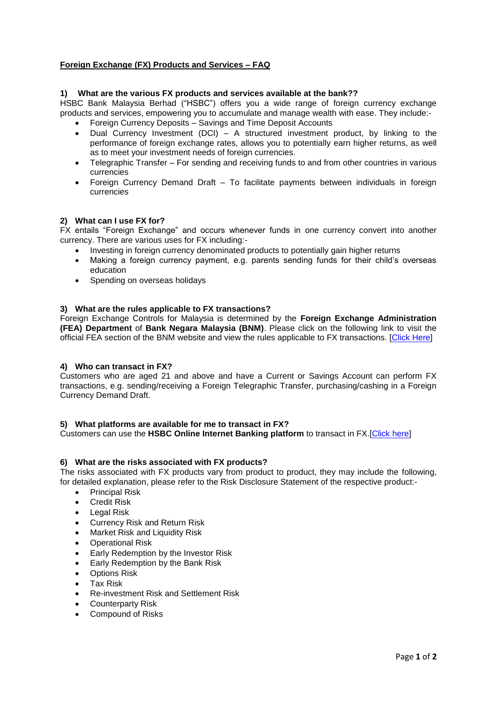# **Foreign Exchange (FX) Products and Services – FAQ**

## **1) What are the various FX products and services available at the bank??**

HSBC Bank Malaysia Berhad ("HSBC") offers you a wide range of foreign currency exchange products and services, empowering you to accumulate and manage wealth with ease. They include:-

- Foreign Currency Deposits Savings and Time Deposit Accounts
- Dual Currency Investment (DCI) A structured investment product, by linking to the performance of foreign exchange rates, allows you to potentially earn higher returns, as well as to meet your investment needs of foreign currencies.
- Telegraphic Transfer For sending and receiving funds to and from other countries in various currencies
- Foreign Currency Demand Draft To facilitate payments between individuals in foreign currencies

#### **2) What can I use FX for?**

FX entails "Foreign Exchange" and occurs whenever funds in one currency convert into another currency. There are various uses for FX including:-

- Investing in foreign currency denominated products to potentially gain higher returns
- Making a foreign currency payment, e.g. parents sending funds for their child's overseas education
- Spending on overseas holidays

#### **3) What are the rules applicable to FX transactions?**

Foreign Exchange Controls for Malaysia is determined by the **Foreign Exchange Administration (FEA) Department** of **Bank Negara Malaysia (BNM)**. Please click on the following link to visit the official FEA section of the BNM website and view the rules applicable to FX transactions. [\[Click Here\]](http://www.bnm.gov.my/index.php?lang=en&ch=en_newfea&pg=en_newfea_overview&ac=355&eId=box1)

#### **4) Who can transact in FX?**

Customers who are aged 21 and above and have a Current or Savings Account can perform FX transactions, e.g. sending/receiving a Foreign Telegraphic Transfer, purchasing/cashing in a Foreign Currency Demand Draft.

#### **5) What platforms are available for me to transact in FX?**

Customers can use the **HSBC Online Internet Banking platform** to transact in FX.[\[Click here\]](https://www.hsbc.com.my/1/2/!ut/p/c5/04_SB8K8xLLM9MSSzPy8xBz9CP0os3gDCxNvAz9vzyAXA2cPRxMPywBDAwgAykdiyjv5w-WJ0e1v6m5g6RNiYWngbeRvHGRqbECc7uDUvPjQYH0_j_zcVP1I_ShzDMWeniYwxZE5qemJyZXY1XljqgvN0w_Lyy_KBYZBQW5oRLm3jyMAwombdA!!/dl3/d3/L0lJSklna21BL0lKakFBTXlBQkVSQ0pBISEvNEZHZ3NvMFZ2emE5SUFnIS83XzA4NEswTktJUkQwQ0hBNEhJSTQwMDAwMDAwLzZ4Y3FSNzY3ODAwMDQ!/)

#### **6) What are the risks associated with FX products?**

The risks associated with FX products vary from product to product, they may include the following, for detailed explanation, please refer to the Risk Disclosure Statement of the respective product:-

- Principal Risk
- **•** Credit Risk
- Legal Risk
- Currency Risk and Return Risk
- Market Risk and Liquidity Risk
- Operational Risk
- Early Redemption by the Investor Risk
- **Early Redemption by the Bank Risk**
- Options Risk
- Tax Risk
- Re-investment Risk and Settlement Risk
- Counterparty Risk
- Compound of Risks